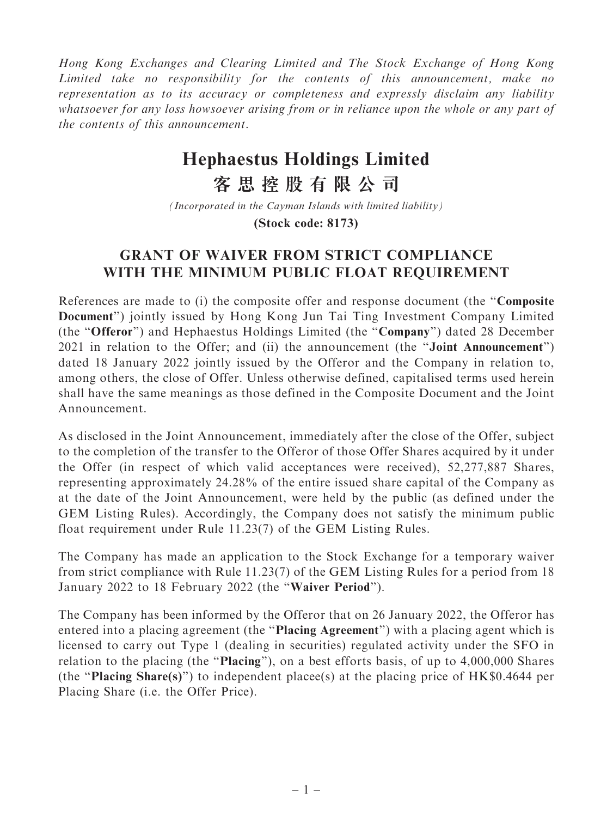Hong Kong Exchanges and Clearing Limited and The Stock Exchange of Hong Kong Limited take no responsibility for the contents of this announcement, make no representation as to its accuracy or completeness and expressly disclaim any liability whatsoever for any loss howsoever arising from or in reliance upon the whole or any part of the contents of this announcement.

## **Hephaestus Holdings Limited**

**客思控股有限公司**

**(Stock code: 8173)** *(Incorporated in the Cayman Islands with limited liability)*

## GRANT OF WAIVER FROM STRICT COMPLIANCE WITH THE MINIMUM PUBLIC FLOAT REQUIREMENT

References are made to (i) the composite offer and response document (the ''Composite Document'') jointly issued by Hong Kong Jun Tai Ting Investment Company Limited (the ''Offeror'') and Hephaestus Holdings Limited (the ''Company'') dated 28 December 2021 in relation to the Offer; and (ii) the announcement (the ''Joint Announcement'') dated 18 January 2022 jointly issued by the Offeror and the Company in relation to, among others, the close of Offer. Unless otherwise defined, capitalised terms used herein shall have the same meanings as those defined in the Composite Document and the Joint Announcement.

As disclosed in the Joint Announcement, immediately after the close of the Offer, subject to the completion of the transfer to the Offeror of those Offer Shares acquired by it under the Offer (in respect of which valid acceptances were received), 52,277,887 Shares, representing approximately 24.28% of the entire issued share capital of the Company as at the date of the Joint Announcement, were held by the public (as defined under the GEM Listing Rules). Accordingly, the Company does not satisfy the minimum public float requirement under Rule 11.23(7) of the GEM Listing Rules.

The Company has made an application to the Stock Exchange for a temporary waiver from strict compliance with Rule 11.23(7) of the GEM Listing Rules for a period from 18 January 2022 to 18 February 2022 (the ''Waiver Period'').

The Company has been informed by the Offeror that on 26 January 2022, the Offeror has entered into a placing agreement (the "**Placing Agreement**") with a placing agent which is licensed to carry out Type 1 (dealing in securities) regulated activity under the SFO in relation to the placing (the "**Placing**"), on a best efforts basis, of up to 4,000,000 Shares (the ''Placing Share(s)'') to independent placee(s) at the placing price of HK\$0.4644 per Placing Share (i.e. the Offer Price).